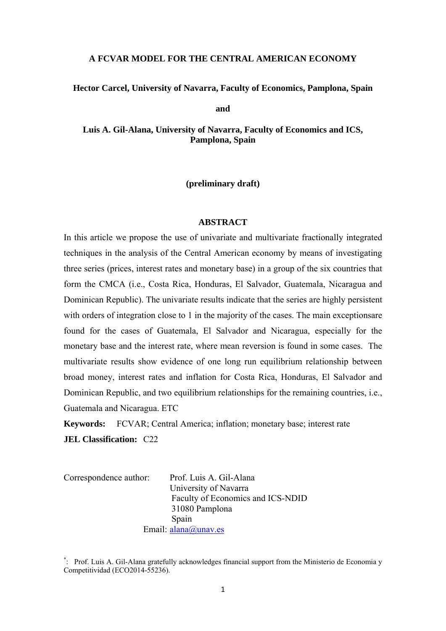# **A FCVAR MODEL FOR THE CENTRAL AMERICAN ECONOMY**

#### **Hector Carcel, University of Navarra, Faculty of Economics, Pamplona, Spain**

**and** 

**Luis A. Gil-Alana, University of Navarra, Faculty of Economics and ICS, Pamplona, Spain** 

**(preliminary draft)** 

## **ABSTRACT**

In this article we propose the use of univariate and multivariate fractionally integrated techniques in the analysis of the Central American economy by means of investigating three series (prices, interest rates and monetary base) in a group of the six countries that form the CMCA (i.e., Costa Rica, Honduras, El Salvador, Guatemala, Nicaragua and Dominican Republic). The univariate results indicate that the series are highly persistent with orders of integration close to 1 in the majority of the cases. The main exceptions are found for the cases of Guatemala, El Salvador and Nicaragua, especially for the monetary base and the interest rate, where mean reversion is found in some cases. The multivariate results show evidence of one long run equilibrium relationship between broad money, interest rates and inflation for Costa Rica, Honduras, El Salvador and Dominican Republic, and two equilibrium relationships for the remaining countries, i.e., Guatemala and Nicaragua. ETC

**Keywords:** FCVAR; Central America; inflation; monetary base; interest rate **JEL Classification:** C22

Correspondence author: Prof. Luis A. Gil-Alana University of Navarra Faculty of Economics and ICS-NDID 31080 Pamplona Spain Email: alana@unav.es

\*: Prof. Luis A. Gil-Alana gratefully acknowledges financial support from the Ministerio de Economia y Competitividad (ECO2014-55236).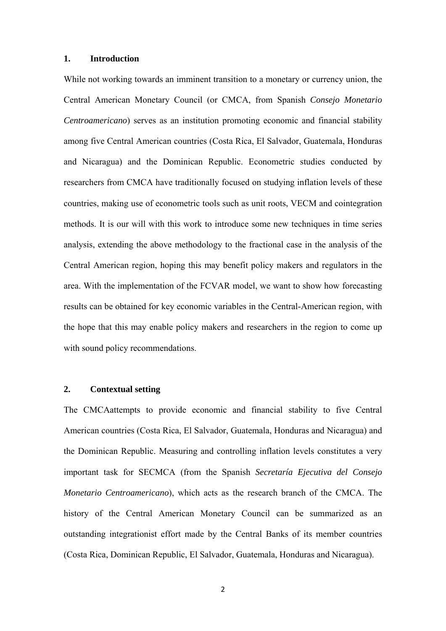# **1. Introduction**

While not working towards an imminent transition to a monetary or currency union, the Central American Monetary Council (or CMCA, from Spanish *Consejo Monetario Centroamericano*) serves as an institution promoting economic and financial stability among five Central American countries (Costa Rica, El Salvador, Guatemala, Honduras and Nicaragua) and the Dominican Republic. Econometric studies conducted by researchers from CMCA have traditionally focused on studying inflation levels of these countries, making use of econometric tools such as unit roots, VECM and cointegration methods. It is our will with this work to introduce some new techniques in time series analysis, extending the above methodology to the fractional case in the analysis of the Central American region, hoping this may benefit policy makers and regulators in the area. With the implementation of the FCVAR model, we want to show how forecasting results can be obtained for key economic variables in the Central-American region, with the hope that this may enable policy makers and researchers in the region to come up with sound policy recommendations.

### **2. Contextual setting**

The CMCAattempts to provide economic and financial stability to five Central American countries (Costa Rica, El Salvador, Guatemala, Honduras and Nicaragua) and the Dominican Republic. Measuring and controlling inflation levels constitutes a very important task for SECMCA (from the Spanish *Secretaría Ejecutiva del Consejo Monetario Centroamericano*), which acts as the research branch of the CMCA. The history of the Central American Monetary Council can be summarized as an outstanding integrationist effort made by the Central Banks of its member countries (Costa Rica, Dominican Republic, El Salvador, Guatemala, Honduras and Nicaragua).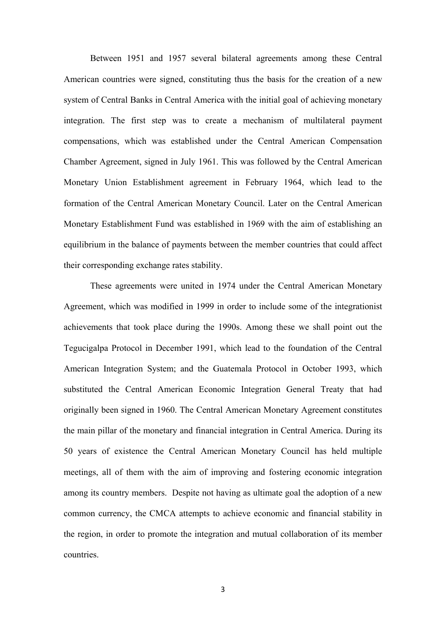Between 1951 and 1957 several bilateral agreements among these Central American countries were signed, constituting thus the basis for the creation of a new system of Central Banks in Central America with the initial goal of achieving monetary integration. The first step was to create a mechanism of multilateral payment compensations, which was established under the Central American Compensation Chamber Agreement, signed in July 1961. This was followed by the Central American Monetary Union Establishment agreement in February 1964, which lead to the formation of the Central American Monetary Council. Later on the Central American Monetary Establishment Fund was established in 1969 with the aim of establishing an equilibrium in the balance of payments between the member countries that could affect their corresponding exchange rates stability.

These agreements were united in 1974 under the Central American Monetary Agreement, which was modified in 1999 in order to include some of the integrationist achievements that took place during the 1990s. Among these we shall point out the Tegucigalpa Protocol in December 1991, which lead to the foundation of the Central American Integration System; and the Guatemala Protocol in October 1993, which substituted the Central American Economic Integration General Treaty that had originally been signed in 1960. The Central American Monetary Agreement constitutes the main pillar of the monetary and financial integration in Central America. During its 50 years of existence the Central American Monetary Council has held multiple meetings, all of them with the aim of improving and fostering economic integration among its country members. Despite not having as ultimate goal the adoption of a new common currency, the CMCA attempts to achieve economic and financial stability in the region, in order to promote the integration and mutual collaboration of its member countries.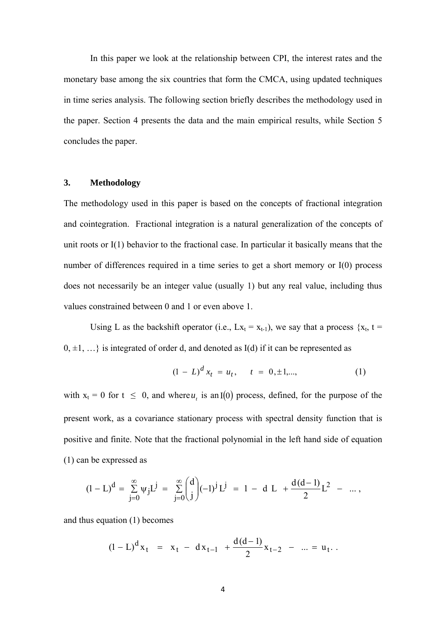In this paper we look at the relationship between CPI, the interest rates and the monetary base among the six countries that form the CMCA, using updated techniques in time series analysis. The following section briefly describes the methodology used in the paper. Section 4 presents the data and the main empirical results, while Section 5 concludes the paper.

### **3. Methodology**

The methodology used in this paper is based on the concepts of fractional integration and cointegration. Fractional integration is a natural generalization of the concepts of unit roots or I(1) behavior to the fractional case. In particular it basically means that the number of differences required in a time series to get a short memory or I(0) process does not necessarily be an integer value (usually 1) but any real value, including thus values constrained between 0 and 1 or even above 1.

Using L as the backshift operator (i.e.,  $Lx_t = x_{t-1}$ ), we say that a process  $\{x_t, t =$  $0, \pm 1, \ldots$ } is integrated of order d, and denoted as I(d) if it can be represented as

$$
(1 - L)^d x_t = u_t, \quad t = 0, \pm 1, \dots,
$$
 (1)

with  $x_t = 0$  for  $t \le 0$ , and where  $u_t$  is an I(0) process, defined, for the purpose of the present work, as a covariance stationary process with spectral density function that is positive and finite. Note that the fractional polynomial in the left hand side of equation (1) can be expressed as

$$
(1 - L)^d = \sum_{j=0}^{\infty} \psi_j L^j = \sum_{j=0}^{\infty} {d \choose j} (-1)^j L^j = 1 - d L + \frac{d(d-1)}{2} L^2 - \dots,
$$

and thus equation (1) becomes

$$
(1 - L)^{d} x_{t} = x_{t} - dx_{t-1} + \frac{d(d-1)}{2} x_{t-2} - ... = u_{t}.
$$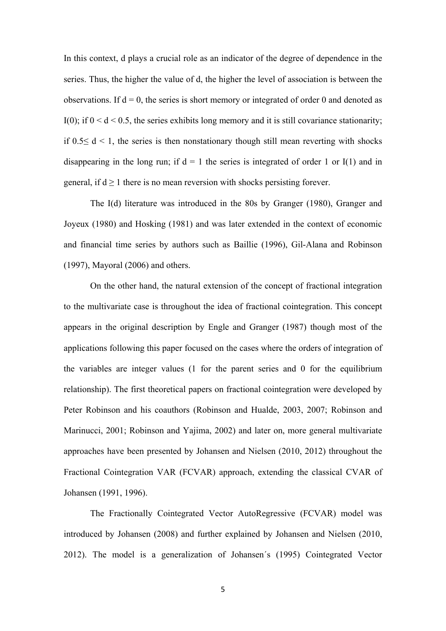In this context, d plays a crucial role as an indicator of the degree of dependence in the series. Thus, the higher the value of d, the higher the level of association is between the observations. If  $d = 0$ , the series is short memory or integrated of order 0 and denoted as I(0); if  $0 < d < 0.5$ , the series exhibits long memory and it is still covariance stationarity; if  $0.5 \le d \le 1$ , the series is then nonstationary though still mean reverting with shocks disappearing in the long run; if  $d = 1$  the series is integrated of order 1 or I(1) and in general, if  $d \ge 1$  there is no mean reversion with shocks persisting forever.

 The I(d) literature was introduced in the 80s by Granger (1980), Granger and Joyeux (1980) and Hosking (1981) and was later extended in the context of economic and financial time series by authors such as Baillie (1996), Gil-Alana and Robinson (1997), Mayoral (2006) and others.

 On the other hand, the natural extension of the concept of fractional integration to the multivariate case is throughout the idea of fractional cointegration. This concept appears in the original description by Engle and Granger (1987) though most of the applications following this paper focused on the cases where the orders of integration of the variables are integer values (1 for the parent series and 0 for the equilibrium relationship). The first theoretical papers on fractional cointegration were developed by Peter Robinson and his coauthors (Robinson and Hualde, 2003, 2007; Robinson and Marinucci, 2001; Robinson and Yajima, 2002) and later on, more general multivariate approaches have been presented by Johansen and Nielsen (2010, 2012) throughout the Fractional Cointegration VAR (FCVAR) approach, extending the classical CVAR of Johansen (1991, 1996).

The Fractionally Cointegrated Vector AutoRegressive (FCVAR) model was introduced by Johansen (2008) and further explained by Johansen and Nielsen (2010, 2012). The model is a generalization of Johansen´s (1995) Cointegrated Vector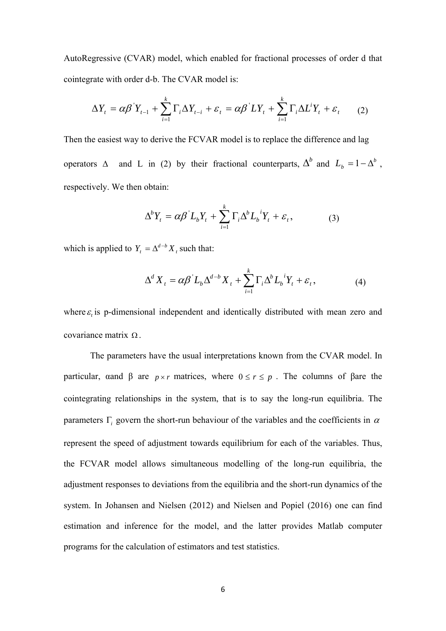AutoRegressive (CVAR) model, which enabled for fractional processes of order d that cointegrate with order d-b. The CVAR model is:

$$
\Delta Y_t = \alpha \beta^{\dagger} Y_{t-1} + \sum_{i=1}^{k} \Gamma_i \Delta Y_{t-i} + \varepsilon_t = \alpha \beta^{\dagger} L Y_t + \sum_{i=1}^{k} \Gamma_i \Delta L^i Y_t + \varepsilon_t \qquad (2)
$$

Then the easiest way to derive the FCVAR model is to replace the difference and lag operators  $\Delta$  and *L* in (2) by their fractional counterparts,  $\Delta^b$  and  $L_b = 1 - \Delta^b$ , respectively. We then obtain:

$$
\Delta^b Y_t = \alpha \beta L_b Y_t + \sum_{i=1}^k \Gamma_i \Delta^b L_b{}^i Y_t + \varepsilon_t, \qquad (3)
$$

which is applied to  $Y_t = \Delta^{d-b} X_t$  such that:

$$
\Delta^d X_t = \alpha \beta^{\dagger} L_b \Delta^{d-b} X_t + \sum_{i=1}^k \Gamma_i \Delta^b L_b^{\ \ i} Y_t + \varepsilon_t, \tag{4}
$$

where  $\varepsilon$  is p-dimensional independent and identically distributed with mean zero and covariance matrix  $\Omega$ .

The parameters have the usual interpretations known from the CVAR model. In particular, αand  $\beta$  are  $p \times r$  matrices, where  $0 \le r \le p$ . The columns of  $\beta$ are the cointegrating relationships in the system, that is to say the long-run equilibria. The parameters  $\Gamma$  govern the short-run behaviour of the variables and the coefficients in  $\alpha$ represent the speed of adjustment towards equilibrium for each of the variables. Thus, the FCVAR model allows simultaneous modelling of the long-run equilibria, the adjustment responses to deviations from the equilibria and the short-run dynamics of the system. In Johansen and Nielsen (2012) and Nielsen and Popiel (2016) one can find estimation and inference for the model, and the latter provides Matlab computer programs for the calculation of estimators and test statistics.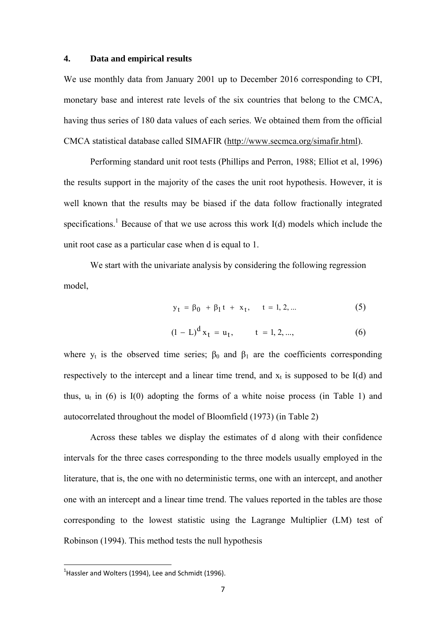# **4. Data and empirical results**

We use monthly data from January 2001 up to December 2016 corresponding to CPI, monetary base and interest rate levels of the six countries that belong to the CMCA, having thus series of 180 data values of each series. We obtained them from the official CMCA statistical database called SIMAFIR (http://www.secmca.org/simafir.html).

Performing standard unit root tests (Phillips and Perron, 1988; Elliot et al, 1996) the results support in the majority of the cases the unit root hypothesis. However, it is well known that the results may be biased if the data follow fractionally integrated specifications.<sup>1</sup> Because of that we use across this work  $I(d)$  models which include the unit root case as a particular case when d is equal to 1.

We start with the univariate analysis by considering the following regression model,

$$
y_t = \beta_0 + \beta_1 t + x_t, \quad t = 1, 2, ... \tag{5}
$$

$$
(1 - L)^{d} x_{t} = u_{t}, \qquad t = 1, 2, ..., \qquad (6)
$$

where  $y_t$  is the observed time series;  $\beta_0$  and  $\beta_1$  are the coefficients corresponding respectively to the intercept and a linear time trend, and  $x_t$  is supposed to be I(d) and thus,  $u_t$  in (6) is  $I(0)$  adopting the forms of a white noise process (in Table 1) and autocorrelated throughout the model of Bloomfield (1973) (in Table 2)

 Across these tables we display the estimates of d along with their confidence intervals for the three cases corresponding to the three models usually employed in the literature, that is, the one with no deterministic terms, one with an intercept, and another one with an intercept and a linear time trend. The values reported in the tables are those corresponding to the lowest statistic using the Lagrange Multiplier (LM) test of Robinson (1994). This method tests the null hypothesis

 $<sup>1</sup>$ Hassler and Wolters (1994), Lee and Schmidt (1996).</sup>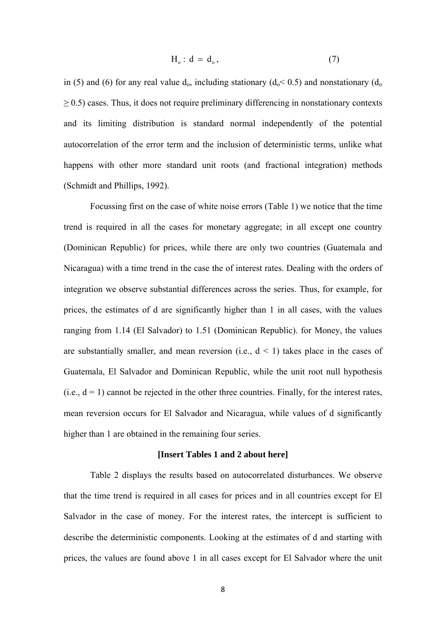$$
H_o: d = d_o, \t\t(7)
$$

in (5) and (6) for any real value  $d_0$ , including stationary ( $d_0 < 0.5$ ) and nonstationary ( $d_0$  $\geq$  0.5) cases. Thus, it does not require preliminary differencing in nonstationary contexts and its limiting distribution is standard normal independently of the potential autocorrelation of the error term and the inclusion of deterministic terms, unlike what happens with other more standard unit roots (and fractional integration) methods (Schmidt and Phillips, 1992).

 Focussing first on the case of white noise errors (Table 1) we notice that the time trend is required in all the cases for monetary aggregate; in all except one country (Dominican Republic) for prices, while there are only two countries (Guatemala and Nicaragua) with a time trend in the case the of interest rates. Dealing with the orders of integration we observe substantial differences across the series. Thus, for example, for prices, the estimates of d are significantly higher than 1 in all cases, with the values ranging from 1.14 (El Salvador) to 1.51 (Dominican Republic). for Money, the values are substantially smaller, and mean reversion (i.e.,  $d < 1$ ) takes place in the cases of Guatemala, El Salvador and Dominican Republic, while the unit root null hypothesis  $(i.e., d = 1)$  cannot be rejected in the other three countries. Finally, for the interest rates, mean reversion occurs for El Salvador and Nicaragua, while values of d significantly higher than 1 are obtained in the remaining four series.

#### **[Insert Tables 1 and 2 about here]**

 Table 2 displays the results based on autocorrelated disturbances. We observe that the time trend is required in all cases for prices and in all countries except for El Salvador in the case of money. For the interest rates, the intercept is sufficient to describe the deterministic components. Looking at the estimates of d and starting with prices, the values are found above 1 in all cases except for El Salvador where the unit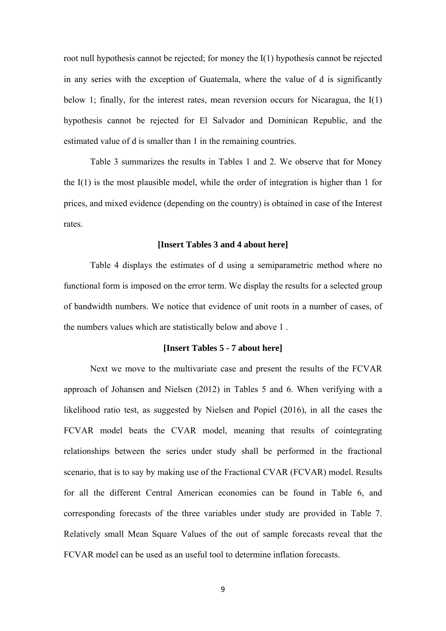root null hypothesis cannot be rejected; for money the I(1) hypothesis cannot be rejected in any series with the exception of Guatemala, where the value of d is significantly below 1; finally, for the interest rates, mean reversion occurs for Nicaragua, the I(1) hypothesis cannot be rejected for El Salvador and Dominican Republic, and the estimated value of d is smaller than 1 in the remaining countries.

Table 3 summarizes the results in Tables 1 and 2. We observe that for Money the I(1) is the most plausible model, while the order of integration is higher than 1 for prices, and mixed evidence (depending on the country) is obtained in case of the Interest rates.

### **[Insert Tables 3 and 4 about here]**

 Table 4 displays the estimates of d using a semiparametric method where no functional form is imposed on the error term. We display the results for a selected group of bandwidth numbers. We notice that evidence of unit roots in a number of cases, of the numbers values which are statistically below and above 1 .

## **[Insert Tables 5 - 7 about here]**

 Next we move to the multivariate case and present the results of the FCVAR approach of Johansen and Nielsen (2012) in Tables 5 and 6. When verifying with a likelihood ratio test, as suggested by Nielsen and Popiel (2016), in all the cases the FCVAR model beats the CVAR model, meaning that results of cointegrating relationships between the series under study shall be performed in the fractional scenario, that is to say by making use of the Fractional CVAR (FCVAR) model. Results for all the different Central American economies can be found in Table 6, and corresponding forecasts of the three variables under study are provided in Table 7. Relatively small Mean Square Values of the out of sample forecasts reveal that the FCVAR model can be used as an useful tool to determine inflation forecasts.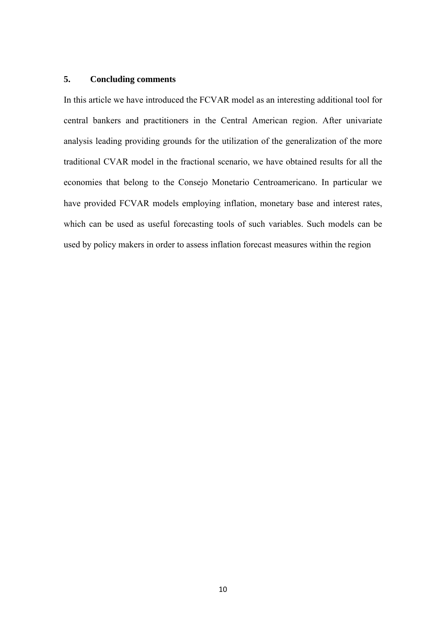# **5. Concluding comments**

In this article we have introduced the FCVAR model as an interesting additional tool for central bankers and practitioners in the Central American region. After univariate analysis leading providing grounds for the utilization of the generalization of the more traditional CVAR model in the fractional scenario, we have obtained results for all the economies that belong to the Consejo Monetario Centroamericano. In particular we have provided FCVAR models employing inflation, monetary base and interest rates, which can be used as useful forecasting tools of such variables. Such models can be used by policy makers in order to assess inflation forecast measures within the region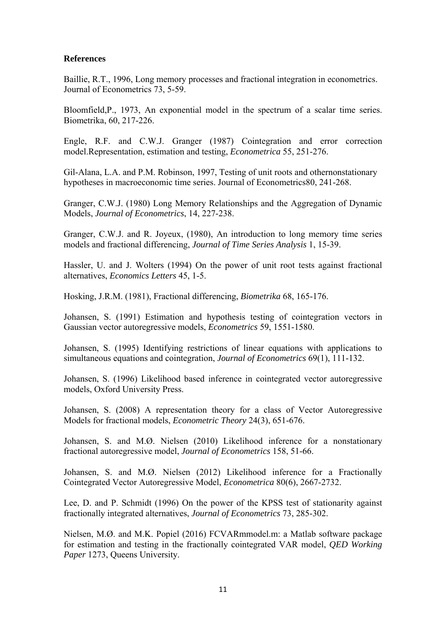# **References**

Baillie, R.T., 1996, Long memory processes and fractional integration in econometrics. Journal of Econometrics 73, 5-59.

Bloomfield,P., 1973, An exponential model in the spectrum of a scalar time series. Biometrika, 60, 217-226.

Engle, R.F. and C.W.J. Granger (1987) Cointegration and error correction model.Representation, estimation and testing, *Econometrica* 55, 251-276.

Gil-Alana, L.A. and P.M. Robinson, 1997, Testing of unit roots and othernonstationary hypotheses in macroeconomic time series. Journal of Econometrics80, 241-268.

Granger, C.W.J. (1980) Long Memory Relationships and the Aggregation of Dynamic Models, *Journal of Econometrics*, 14, 227-238.

Granger, C.W.J. and R. Joyeux, (1980), An introduction to long memory time series models and fractional differencing, *Journal of Time Series Analysis* 1, 15-39.

Hassler, U. and J. Wolters (1994) On the power of unit root tests against fractional alternatives, *Economics Letters* 45, 1-5.

Hosking, J.R.M. (1981), Fractional differencing, *Biometrika* 68, 165-176.

Johansen, S. (1991) Estimation and hypothesis testing of cointegration vectors in Gaussian vector autoregressive models, *Econometrics* 59, 1551-1580.

Johansen, S. (1995) Identifying restrictions of linear equations with applications to simultaneous equations and cointegration, *Journal of Econometrics* 69(1), 111-132.

Johansen, S. (1996) Likelihood based inference in cointegrated vector autoregressive models, Oxford University Press.

Johansen, S. (2008) A representation theory for a class of Vector Autoregressive Models for fractional models, *Econometric Theory* 24(3), 651-676.

Johansen, S. and M.Ø. Nielsen (2010) Likelihood inference for a nonstationary fractional autoregressive model, *Journal of Econometrics* 158, 51-66.

Johansen, S. and M.Ø. Nielsen (2012) Likelihood inference for a Fractionally Cointegrated Vector Autoregressive Model, *Econometrica* 80(6), 2667-2732.

Lee, D. and P. Schmidt (1996) On the power of the KPSS test of stationarity against fractionally integrated alternatives, *Journal of Econometrics* 73, 285-302.

Nielsen, M.Ø. and M.K. Popiel (2016) FCVARmmodel.m: a Matlab software package for estimation and testing in the fractionally cointegrated VAR model, *QED Working Paper* 1273, Queens University.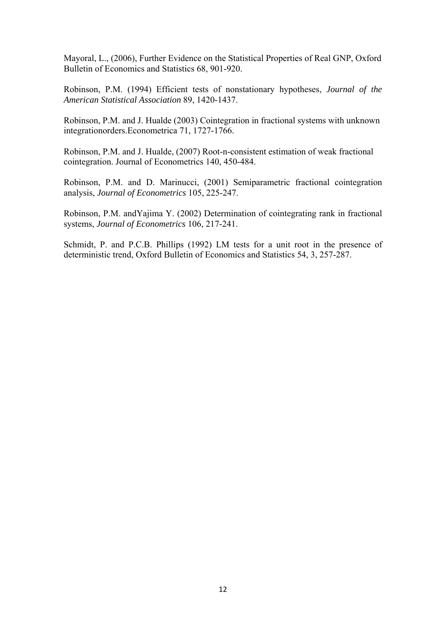Mayoral, L., (2006), Further Evidence on the Statistical Properties of Real GNP, Oxford Bulletin of Economics and Statistics 68, 901-920.

Robinson, P.M. (1994) Efficient tests of nonstationary hypotheses, *Journal of the American Statistical Association* 89, 1420-1437.

Robinson, P.M. and J. Hualde (2003) Cointegration in fractional systems with unknown integrationorders.Econometrica 71, 1727-1766.

Robinson, P.M. and J. Hualde, (2007) Root-n-consistent estimation of weak fractional cointegration. Journal of Econometrics 140, 450-484.

Robinson, P.M. and D. Marinucci, (2001) Semiparametric fractional cointegration analysis, *Journal of Econometrics* 105, 225-247.

Robinson, P.M. andYajima Y. (2002) Determination of cointegrating rank in fractional systems, *Journal of Econometrics* 106, 217-241.

Schmidt, P. and P.C.B. Phillips (1992) LM tests for a unit root in the presence of deterministic trend, Oxford Bulletin of Economics and Statistics 54, 3, 257-287.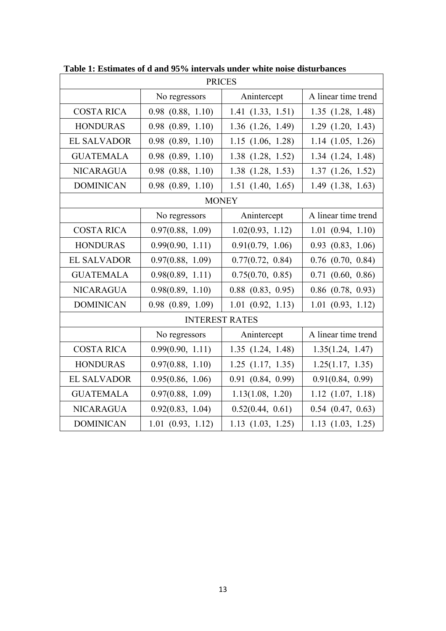| <b>PRICES</b>         |                       |                       |                       |  |
|-----------------------|-----------------------|-----------------------|-----------------------|--|
|                       | No regressors         | Anintercept           | A linear time trend   |  |
| <b>COSTA RICA</b>     | $0.98$ $(0.88, 1.10)$ | 1.41(1.33, 1.51)      | 1.35(1.28, 1.48)      |  |
| <b>HONDURAS</b>       | $0.98$ $(0.89, 1.10)$ | $1.36$ $(1.26, 1.49)$ | $1.29$ $(1.20, 1.43)$ |  |
| <b>EL SALVADOR</b>    | $0.98$ $(0.89, 1.10)$ | $1.15$ $(1.06, 1.28)$ | $1.14$ $(1.05, 1.26)$ |  |
| <b>GUATEMALA</b>      | $0.98$ $(0.89, 1.10)$ | $1.38$ $(1.28, 1.52)$ | 1.34(1.24, 1.48)      |  |
| <b>NICARAGUA</b>      | $0.98$ $(0.88, 1.10)$ | $1.38$ $(1.28, 1.53)$ | $1.37$ $(1.26, 1.52)$ |  |
| <b>DOMINICAN</b>      | $0.98$ $(0.89, 1.10)$ | $1.51$ $(1.40, 1.65)$ | $1.49$ $(1.38, 1.63)$ |  |
|                       |                       | <b>MONEY</b>          |                       |  |
|                       | No regressors         | Anintercept           | A linear time trend   |  |
| <b>COSTA RICA</b>     | 0.97(0.88, 1.09)      | 1.02(0.93, 1.12)      | 1.01(0.94, 1.10)      |  |
| <b>HONDURAS</b>       | 0.99(0.90, 1.11)      | 0.91(0.79, 1.06)      | $0.93$ $(0.83, 1.06)$ |  |
| <b>EL SALVADOR</b>    | 0.97(0.88, 1.09)      | 0.77(0.72, 0.84)      | $0.76$ $(0.70, 0.84)$ |  |
| <b>GUATEMALA</b>      | 0.98(0.89, 1.11)      | 0.75(0.70, 0.85)      | $0.71$ $(0.60, 0.86)$ |  |
| <b>NICARAGUA</b>      | 0.98(0.89, 1.10)      | $0.88$ $(0.83, 0.95)$ | $0.86$ $(0.78, 0.93)$ |  |
| <b>DOMINICAN</b>      | $0.98$ $(0.89, 1.09)$ | $1.01$ $(0.92, 1.13)$ | $1.01$ $(0.93, 1.12)$ |  |
| <b>INTEREST RATES</b> |                       |                       |                       |  |
|                       | No regressors         | Anintercept           | A linear time trend   |  |
| <b>COSTA RICA</b>     | 0.99(0.90, 1.11)      | 1.35(1.24, 1.48)      | 1.35(1.24, 1.47)      |  |
| <b>HONDURAS</b>       | 0.97(0.88, 1.10)      | $1.25$ $(1.17, 1.35)$ | 1.25(1.17, 1.35)      |  |
| <b>EL SALVADOR</b>    | 0.95(0.86, 1.06)      | $0.91$ $(0.84, 0.99)$ | 0.91(0.84, 0.99)      |  |
| <b>GUATEMALA</b>      | 0.97(0.88, 1.09)      | 1.13(1.08, 1.20)      | $1.12$ $(1.07, 1.18)$ |  |
| <b>NICARAGUA</b>      | 0.92(0.83, 1.04)      | 0.52(0.44, 0.61)      | $0.54$ $(0.47, 0.63)$ |  |
| <b>DOMINICAN</b>      | $1.01$ $(0.93, 1.12)$ | $1.13$ $(1.03, 1.25)$ | $1.13$ $(1.03, 1.25)$ |  |

**Table 1: Estimates of d and 95% intervals under white noise disturbances**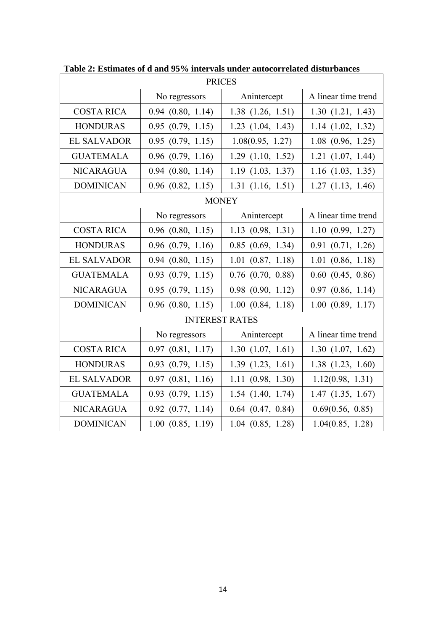| <b>PRICES</b>         |                       |                       |                       |  |
|-----------------------|-----------------------|-----------------------|-----------------------|--|
|                       | No regressors         | Anintercept           | A linear time trend   |  |
| <b>COSTA RICA</b>     | $0.94$ $(0.80, 1.14)$ | $1.38$ $(1.26, 1.51)$ | 1.30(1.21, 1.43)      |  |
| <b>HONDURAS</b>       | 0.95(0.79, 1.15)      | $1.23$ $(1.04, 1.43)$ | 1.14(1.02, 1.32)      |  |
| <b>EL SALVADOR</b>    | 0.95(0.79, 1.15)      | 1.08(0.95, 1.27)      | $1.08$ $(0.96, 1.25)$ |  |
| <b>GUATEMALA</b>      | $0.96$ $(0.79, 1.16)$ | $1.29$ $(1.10, 1.52)$ | $1.21$ $(1.07, 1.44)$ |  |
| <b>NICARAGUA</b>      | $0.94$ $(0.80, 1.14)$ | $1.19$ $(1.03, 1.37)$ | $1.16$ $(1.03, 1.35)$ |  |
| <b>DOMINICAN</b>      | $0.96$ $(0.82, 1.15)$ | 1.31(1.16, 1.51)      | $1.27$ $(1.13, 1.46)$ |  |
|                       |                       | <b>MONEY</b>          |                       |  |
|                       | No regressors         | Anintercept           | A linear time trend   |  |
| <b>COSTA RICA</b>     | $0.96$ $(0.80, 1.15)$ | 1.13(0.98, 1.31)      | 1.10(0.99, 1.27)      |  |
| <b>HONDURAS</b>       | $0.96$ $(0.79, 1.16)$ | $0.85$ $(0.69, 1.34)$ | 0.91(0.71, 1.26)      |  |
| <b>EL SALVADOR</b>    | $0.94$ $(0.80, 1.15)$ | $1.01$ $(0.87, 1.18)$ | $1.01$ $(0.86, 1.18)$ |  |
| <b>GUATEMALA</b>      | $0.93$ $(0.79, 1.15)$ | $0.76$ $(0.70, 0.88)$ | $0.60$ $(0.45, 0.86)$ |  |
| <b>NICARAGUA</b>      | 0.95(0.79, 1.15)      | $0.98$ $(0.90, 1.12)$ | $0.97$ $(0.86, 1.14)$ |  |
| <b>DOMINICAN</b>      | $0.96$ $(0.80, 1.15)$ | 1.00(0.84, 1.18)      | $1.00$ $(0.89, 1.17)$ |  |
| <b>INTEREST RATES</b> |                       |                       |                       |  |
|                       | No regressors         | Anintercept           | A linear time trend   |  |
| <b>COSTA RICA</b>     | $0.97$ $(0.81, 1.17)$ | 1.30(1.07, 1.61)      | 1.30(1.07, 1.62)      |  |
| <b>HONDURAS</b>       | $0.93$ $(0.79, 1.15)$ | 1.39(1.23, 1.61)      | $1.38$ $(1.23, 1.60)$ |  |
| <b>EL SALVADOR</b>    | $0.97$ $(0.81, 1.16)$ | 1.11(0.98, 1.30)      | 1.12(0.98, 1.31)      |  |
| <b>GUATEMALA</b>      | $0.93$ $(0.79, 1.15)$ | $1.54$ $(1.40, 1.74)$ | $1.47$ $(1.35, 1.67)$ |  |
| <b>NICARAGUA</b>      | $0.92$ $(0.77, 1.14)$ | $0.64$ $(0.47, 0.84)$ | 0.69(0.56, 0.85)      |  |
| <b>DOMINICAN</b>      | $1.00$ $(0.85, 1.19)$ | $1.04$ $(0.85, 1.28)$ | 1.04(0.85, 1.28)      |  |

**Table 2: Estimates of d and 95% intervals under autocorrelated disturbances**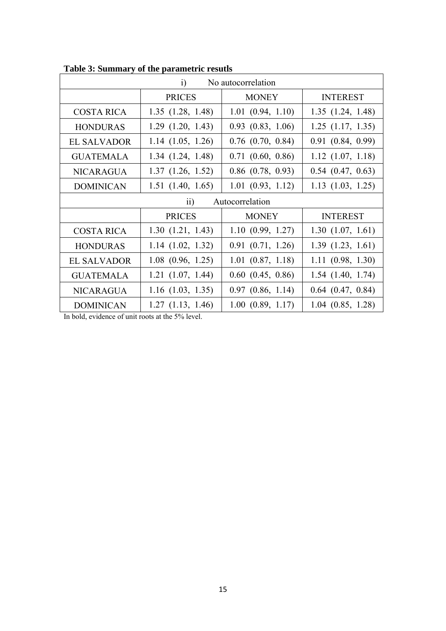| No autocorrelation<br>$\ddot{1}$   |                       |                       |                       |  |
|------------------------------------|-----------------------|-----------------------|-----------------------|--|
|                                    | <b>PRICES</b>         | <b>MONEY</b>          | <b>INTEREST</b>       |  |
| <b>COSTA RICA</b>                  | $1.35$ $(1.28, 1.48)$ | 1.01(0.94, 1.10)      | 1.35(1.24, 1.48)      |  |
| <b>HONDURAS</b>                    | $1.29$ $(1.20, 1.43)$ | $0.93$ $(0.83, 1.06)$ | $1.25$ $(1.17, 1.35)$ |  |
| <b>EL SALVADOR</b>                 | $1.14$ $(1.05, 1.26)$ | $0.76$ $(0.70, 0.84)$ | $0.91$ $(0.84, 0.99)$ |  |
| <b>GUATEMALA</b>                   | 1.34(1.24, 1.48)      | $0.71$ $(0.60, 0.86)$ | $1.12$ $(1.07, 1.18)$ |  |
| <b>NICARAGUA</b>                   | $1.37$ $(1.26, 1.52)$ | $0.86$ $(0.78, 0.93)$ | $0.54$ $(0.47, 0.63)$ |  |
| <b>DOMINICAN</b>                   | $1.51$ $(1.40, 1.65)$ | 1.01(0.93, 1.12)      | $1.13$ $(1.03, 1.25)$ |  |
| Autocorrelation<br>$\overline{ii}$ |                       |                       |                       |  |
|                                    | <b>PRICES</b>         | <b>MONEY</b>          | <b>INTEREST</b>       |  |
| <b>COSTA RICA</b>                  | 1.30(1.21, 1.43)      | 1.10(0.99, 1.27)      | 1.30(1.07, 1.61)      |  |
| <b>HONDURAS</b>                    | $1.14$ $(1.02, 1.32)$ | $0.91$ $(0.71, 1.26)$ | 1.39(1.23, 1.61)      |  |
| <b>EL SALVADOR</b>                 | $1.08$ $(0.96, 1.25)$ | $1.01$ $(0.87, 1.18)$ | 1.11(0.98, 1.30)      |  |
| <b>GUATEMALA</b>                   | $1.21$ $(1.07, 1.44)$ | $0.60$ $(0.45, 0.86)$ | $1.54$ $(1.40, 1.74)$ |  |
| <b>NICARAGUA</b>                   | $1.16$ $(1.03, 1.35)$ | $0.97$ $(0.86, 1.14)$ | $0.64$ $(0.47, 0.84)$ |  |
| <b>DOMINICAN</b>                   | $1.27$ $(1.13, 1.46)$ | 1.00(0.89, 1.17)      | $1.04$ $(0.85, 1.28)$ |  |

**Table 3: Summary of the parametric resutls** 

In bold, evidence of unit roots at the 5% level.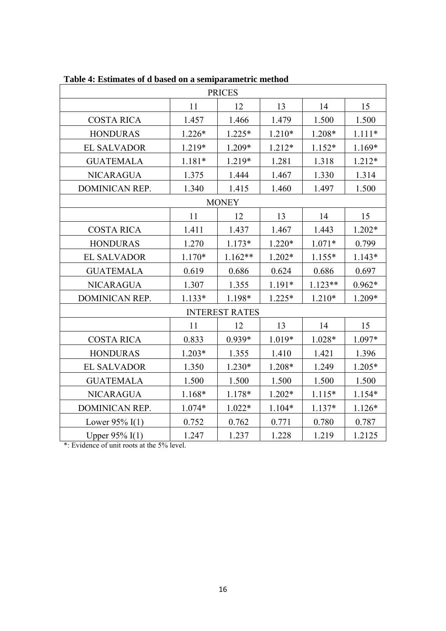| <b>PRICES</b>         |                       |              |          |           |          |  |
|-----------------------|-----------------------|--------------|----------|-----------|----------|--|
|                       | 11                    | 12           | 13       | 14        | 15       |  |
| <b>COSTA RICA</b>     | 1.457                 | 1.466        | 1.479    | 1.500     | 1.500    |  |
| <b>HONDURAS</b>       | 1.226*                | $1.225*$     | $1.210*$ | 1.208*    | $1.111*$ |  |
| <b>EL SALVADOR</b>    | 1.219*                | 1.209*       | 1.212*   | 1.152*    | 1.169*   |  |
| <b>GUATEMALA</b>      | $1.181*$              | 1.219*       | 1.281    | 1.318     | 1.212*   |  |
| <b>NICARAGUA</b>      | 1.375                 | 1.444        | 1.467    | 1.330     | 1.314    |  |
| DOMINICAN REP.        | 1.340                 | 1.415        | 1.460    | 1.497     | 1.500    |  |
|                       |                       | <b>MONEY</b> |          |           |          |  |
|                       | 11                    | 12           | 13       | 14        | 15       |  |
| <b>COSTA RICA</b>     | 1.411                 | 1.437        | 1.467    | 1.443     | 1.202*   |  |
| <b>HONDURAS</b>       | 1.270                 | $1.173*$     | $1.220*$ | $1.071*$  | 0.799    |  |
| <b>EL SALVADOR</b>    | 1.170*                | 1.162**      | 1.202*   | 1.155*    | 1.143*   |  |
| <b>GUATEMALA</b>      | 0.619                 | 0.686        | 0.624    | 0.686     | 0.697    |  |
| <b>NICARAGUA</b>      | 1.307                 | 1.355        | 1.191*   | $1.123**$ | $0.962*$ |  |
| <b>DOMINICAN REP.</b> | 1.133*                | 1.198*       | $1.225*$ | 1.210*    | 1.209*   |  |
|                       | <b>INTEREST RATES</b> |              |          |           |          |  |
|                       | 11                    | 12           | 13       | 14        | 15       |  |
| <b>COSTA RICA</b>     | 0.833                 | 0.939*       | 1.019*   | 1.028*    | 1.097*   |  |
| <b>HONDURAS</b>       | 1.203*                | 1.355        | 1.410    | 1.421     | 1.396    |  |
| <b>EL SALVADOR</b>    | 1.350                 | 1.230*       | 1.208*   | 1.249     | $1.205*$ |  |
| <b>GUATEMALA</b>      | 1.500                 | 1.500        | 1.500    | 1.500     | 1.500    |  |
| <b>NICARAGUA</b>      | 1.168*                | 1.178*       | 1.202*   | $1.115*$  | 1.154*   |  |
| DOMINICAN REP.        | 1.074*                | $1.022*$     | 1.104*   | 1.137*    | 1.126*   |  |
| Lower $95\%$ I(1)     | 0.752                 | 0.762        | 0.771    | 0.780     | 0.787    |  |
| Upper 95% I(1)        | 1.247                 | 1.237        | 1.228    | 1.219     | 1.2125   |  |

**Table 4: Estimates of d based on a semiparametric method** 

\*: Evidence of unit roots at the 5% level.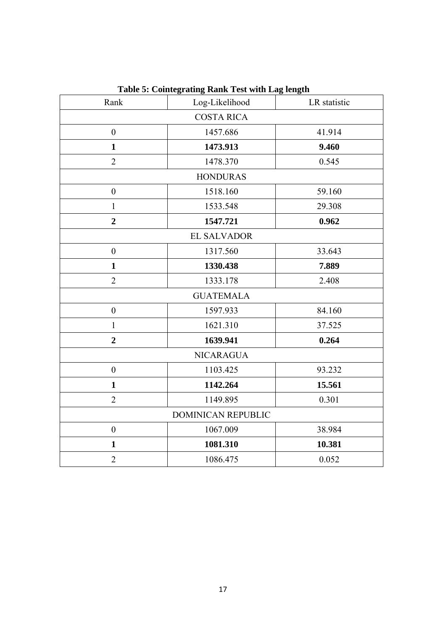| Rank                      | Log-Likelihood   | LR statistic |  |  |
|---------------------------|------------------|--------------|--|--|
| <b>COSTA RICA</b>         |                  |              |  |  |
| $\boldsymbol{0}$          | 1457.686         | 41.914       |  |  |
| $\mathbf{1}$              | 1473.913         | 9.460        |  |  |
| $\overline{2}$            | 1478.370         | 0.545        |  |  |
|                           | <b>HONDURAS</b>  |              |  |  |
| $\boldsymbol{0}$          | 1518.160         | 59.160       |  |  |
| $\mathbf{1}$              | 1533.548         | 29.308       |  |  |
| $\overline{2}$            | 1547.721         | 0.962        |  |  |
| <b>EL SALVADOR</b>        |                  |              |  |  |
| $\boldsymbol{0}$          | 1317.560         | 33.643       |  |  |
| $\mathbf{1}$              | 1330.438         | 7.889        |  |  |
| $\overline{2}$            | 1333.178         | 2.408        |  |  |
|                           | <b>GUATEMALA</b> |              |  |  |
| $\boldsymbol{0}$          | 1597.933         | 84.160       |  |  |
| $\mathbf{1}$              | 1621.310         | 37.525       |  |  |
| $\overline{2}$            | 1639.941         | 0.264        |  |  |
| <b>NICARAGUA</b>          |                  |              |  |  |
| $\boldsymbol{0}$          | 1103.425         | 93.232       |  |  |
| $\mathbf{1}$              | 1142.264         | 15.561       |  |  |
| $\overline{2}$            | 1149.895         | 0.301        |  |  |
| <b>DOMINICAN REPUBLIC</b> |                  |              |  |  |
| $\boldsymbol{0}$          | 1067.009         | 38.984       |  |  |
| $\mathbf{1}$              | 1081.310         | 10.381       |  |  |
| $\overline{2}$            | 1086.475         | 0.052        |  |  |

**Table 5: Cointegrating Rank Test with Lag length**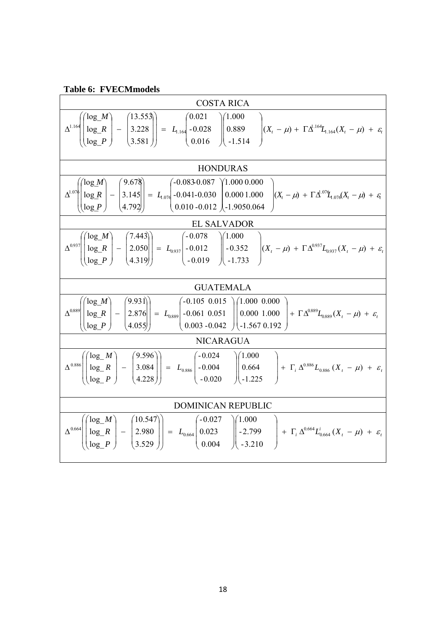|  | <b>Table 6: FVECMmodels</b> |
|--|-----------------------------|
|--|-----------------------------|

| <b>COSTA RICA</b>                                                                                                                                                                                                                                                                                                                                                                                                                        |  |  |  |  |
|------------------------------------------------------------------------------------------------------------------------------------------------------------------------------------------------------------------------------------------------------------------------------------------------------------------------------------------------------------------------------------------------------------------------------------------|--|--|--|--|
| $\Delta^{1.164}\left(\begin{bmatrix} \log_{10} M \\ \log_{10} R \\ \log_{10} P \end{bmatrix} - \begin{bmatrix} 13.553 \\ 3.228 \\ 3.581 \end{bmatrix}\right) = L_{1.164}\left(\begin{bmatrix} 0.021 & 0.000 \\ -0.028 & 0.089 \\ 0.016 & 0.1514 \end{bmatrix}\right) (X_t - \mu) + \Gamma \Delta^{1.164} L_{1.164}(X_t - \mu) + \varepsilon_t$                                                                                           |  |  |  |  |
| <b>HONDURAS</b>                                                                                                                                                                                                                                                                                                                                                                                                                          |  |  |  |  |
| $\Delta^{1.07} \!\!\!\left(\!\!\begin{array}{c} \begin{bmatrix} \log {\cal M} \\ \log {\cal R} \\ \log {\cal P} \end{bmatrix} - \begin{bmatrix} 9.678 \\ 3.145 \\ 4.792 \end{bmatrix} \end{array}\!\!\right) = \left.\begin{array}{c} \begin{bmatrix} -0.083\text{-}0.087 \\ -0.041\text{-}0.030 \\ 0.010\text{-}0.012 \end{bmatrix} \!\!\right)_{\!\!\! -1.9050.064} \!\!\!\!\!\!\!\!\!\!\!\!\!\!\!\!\!\!\!\!\!\!\!\!\!\!\!\!\!\!\!\!\$ |  |  |  |  |
| EL SALVADOR                                                                                                                                                                                                                                                                                                                                                                                                                              |  |  |  |  |
| $\Delta^{0.937} \left( \begin{pmatrix} \log_{10} M \\ \log_{10} R \\ \log_{10} P \end{pmatrix} - \begin{pmatrix} 7.443 \\ 2.050 \\ 4.319 \end{pmatrix} \right) = L_{0.937} \left( \begin{pmatrix} -0.078 \\ -0.012 \\ -0.019 \end{pmatrix} \right) \left( \begin{pmatrix} 1.000 \\ -0.352 \\ -1.733 \end{pmatrix} \right) (X_{t} - \mu) + \Gamma \Delta^{0.937} L_{0.937} (X_{t} - \mu) + \varepsilon_{t}$                               |  |  |  |  |
| <b>GUATEMALA</b>                                                                                                                                                                                                                                                                                                                                                                                                                         |  |  |  |  |
| $\Delta^{0.889} \left( \begin{pmatrix} \log_{10} M \\ \log_{10} R \\ \log_{10} P \end{pmatrix} - \begin{pmatrix} 9.931 \\ 2.876 \\ 4.055 \end{pmatrix} \right) = L_{0.889} \left( \begin{pmatrix} -0.105 & 0.015 \\ -0.061 & 0.051 \\ 0.003 & -0.042 \end{pmatrix} \begin{pmatrix} 1.000 & 0.000 \\ 0.000 & 1.000 \\ -1.567 & 0.192 \end{pmatrix} + \Gamma \Delta^{0.889} L_{0.889$                                                      |  |  |  |  |
| <b>NICARAGUA</b>                                                                                                                                                                                                                                                                                                                                                                                                                         |  |  |  |  |
| $\overline{\Delta}^{0.886} \left( \begin{pmatrix} \log_{-} M \\ \log_{-} R \\ \log_{-} P \end{pmatrix} - \begin{pmatrix} 9.596 \\ 3.084 \\ 4.228 \end{pmatrix} \right) = L_{0.886} \begin{pmatrix} -0.024 \\ -0.004 \\ -0.020 \end{pmatrix} \begin{pmatrix} 1.000 \\ 0.664 \\ -1.225 \end{pmatrix} + \Gamma_{i} \Delta^{0.886} L_{0.886} (X_{t} - \mu) + \varepsilon_{t}$                                                                |  |  |  |  |
| DOMINICAN REPUBLIC                                                                                                                                                                                                                                                                                                                                                                                                                       |  |  |  |  |
| $\Delta^{0.664} \left( \begin{bmatrix} \log_{10} M \\ \log_{10} R \\ \log_{10} P \end{bmatrix} - \begin{bmatrix} 10.547 \\ 2.980 \\ 3.529 \end{bmatrix} \right) = L_{0.664} \left( \begin{bmatrix} -0.027 & 0.000 \\ 0.023 & 0.004 \end{bmatrix} \right) - 2.799 + \Gamma_{i} \Delta^{0.664} L_{0.664}^{i}(X_{i} - \mu) + \varepsilon_{i}$                                                                                               |  |  |  |  |